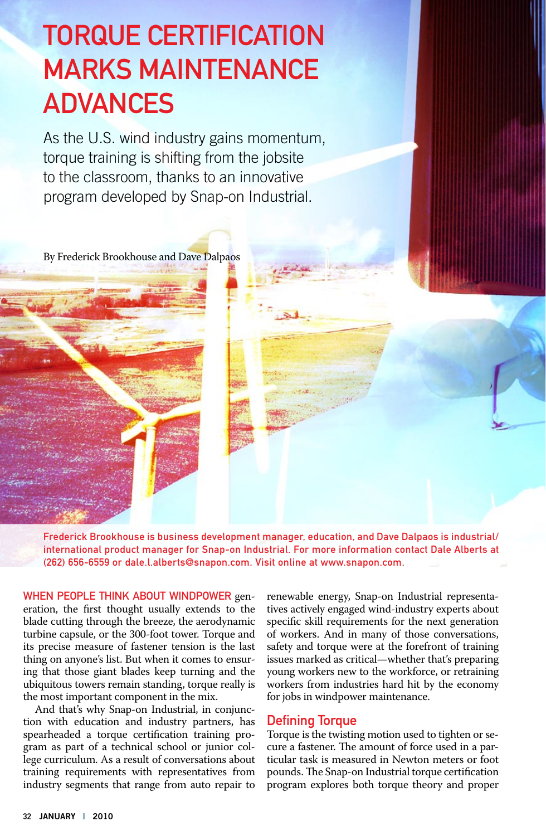### Torque Certification Marks Maintenance **ADVANCES**

As the U.S. wind industry gains momentum, torque training is shifting from the jobsite to the classroom, thanks to an innovative program developed by Snap-on Industrial.

By Frederick Brookhouse and Dave Dalpaos

Frederick Brookhouse is business development manager, education, and Dave Dalpaos is industrial/ international product manager for Snap-on Industrial. For more information contact Dale Alberts at (262) 656-6559 or dale.l.alberts@snapon.com. Visit online at www.snapon.com.

WHEN PEOPLE THINK ABOUT WINDPOWER generation, the first thought usually extends to the blade cutting through the breeze, the aerodynamic turbine capsule, or the 300-foot tower. Torque and its precise measure of fastener tension is the last thing on anyone's list. But when it comes to ensuring that those giant blades keep turning and the ubiquitous towers remain standing, torque really is the most important component in the mix.

And that's why Snap-on Industrial, in conjunction with education and industry partners, has spearheaded a torque certification training program as part of a technical school or junior college curriculum. As a result of conversations about training requirements with representatives from industry segments that range from auto repair to renewable energy, Snap-on Industrial representatives actively engaged wind-industry experts about specific skill requirements for the next generation of workers. And in many of those conversations, safety and torque were at the forefront of training issues marked as critical—whether that's preparing young workers new to the workforce, or retraining workers from industries hard hit by the economy for jobs in windpower maintenance.

#### Defining Torque

Torque is the twisting motion used to tighten or secure a fastener. The amount of force used in a particular task is measured in Newton meters or foot pounds. The Snap-on Industrial torque certification program explores both torque theory and proper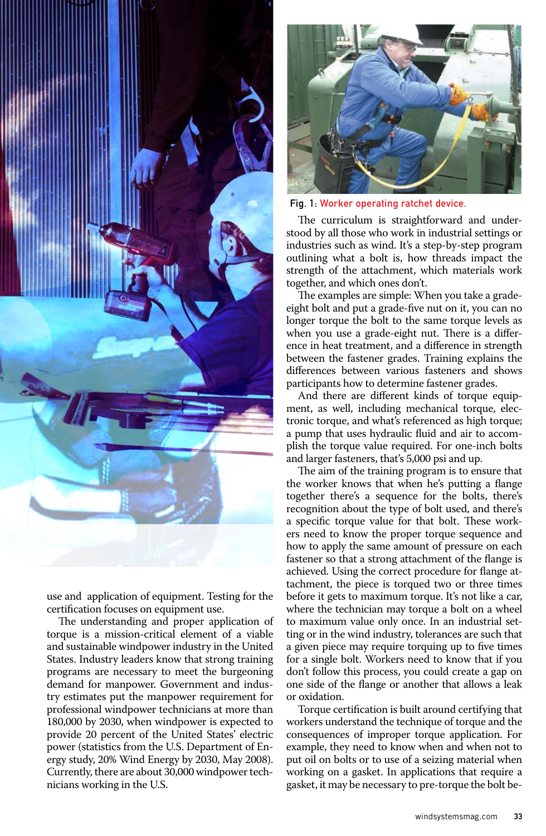

use and application of equipment. Testing for the certification focuses on equipment use.

The understanding and proper application of torque is a mission-critical element of a viable and sustainable windpower industry in the United States. Industry leaders know that strong training programs are necessary to meet the burgeoning demand for manpower. Government and industry estimates put the manpower requirement for professional windpower technicians at more than 180,000 by 2030, when windpower is expected to provide 20 percent of the United States' electric power (statistics from the U.S. Department of Energy study, 20% Wind Energy by 2030, May 2008). Currently, there are about 30,000 windpower technicians working in the U.S.



Fig. 1: Worker operating ratchet device.

The curriculum is straightforward and understood by all those who work in industrial settings or industries such as wind. It's a step-by-step program outlining what a bolt is, how threads impact the strength of the attachment, which materials work together, and which ones don't.

The examples are simple: When you take a gradeeight bolt and put a grade-five nut on it, you can no longer torque the bolt to the same torque levels as when you use a grade-eight nut. There is a difference in heat treatment, and a difference in strength between the fastener grades. Training explains the differences between various fasteners and shows participants how to determine fastener grades.

And there are different kinds of torque equipment, as well, including mechanical torque, electronic torque, and what's referenced as high torque; a pump that uses hydraulic fluid and air to accomplish the torque value required. For one-inch bolts and larger fasteners, that's 5,000 psi and up.

The aim of the training program is to ensure that the worker knows that when he's putting a flange together there's a sequence for the bolts, there's recognition about the type of bolt used, and there's a specific torque value for that bolt. These workers need to know the proper torque sequence and how to apply the same amount of pressure on each fastener so that a strong attachment of the flange is achieved. Using the correct procedure for flange attachment, the piece is torqued two or three times before it gets to maximum torque. It's not like a car, where the technician may torque a bolt on a wheel to maximum value only once. In an industrial setting or in the wind industry, tolerances are such that a given piece may require torquing up to five times for a single bolt. Workers need to know that if you don't follow this process, you could create a gap on one side of the flange or another that allows a leak or oxidation.

Torque certification is built around certifying that workers understand the technique of torque and the consequences of improper torque application. For example, they need to know when and when not to put oil on bolts or to use of a seizing material when working on a gasket. In applications that require a gasket, it may be necessary to pre-torque the bolt be-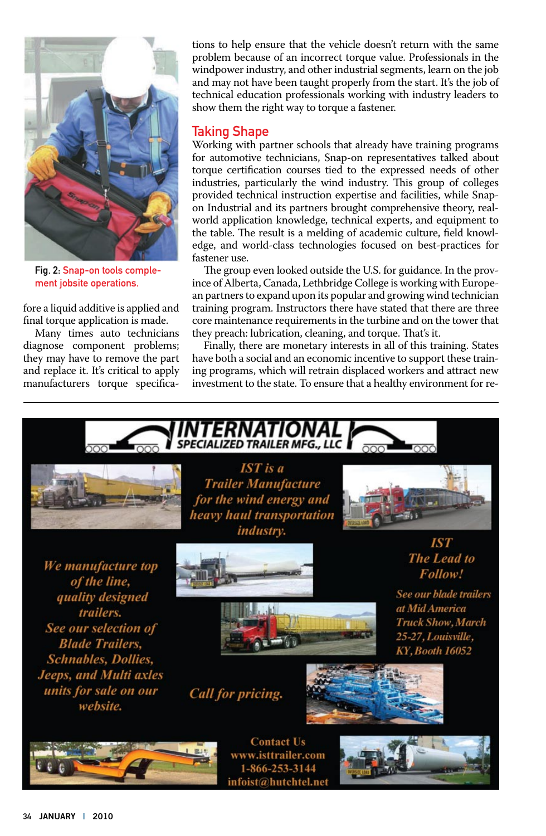

Fig. 2: Snap-on tools complement jobsite operations.

fore a liquid additive is applied and final torque application is made.

Many times auto technicians diagnose component problems; they may have to remove the part and replace it. It's critical to apply manufacturers torque specifications to help ensure that the vehicle doesn't return with the same problem because of an incorrect torque value. Professionals in the windpower industry, and other industrial segments, learn on the job and may not have been taught properly from the start. It's the job of technical education professionals working with industry leaders to show them the right way to torque a fastener.

#### Taking Shape

Working with partner schools that already have training programs for automotive technicians, Snap-on representatives talked about torque certification courses tied to the expressed needs of other industries, particularly the wind industry. This group of colleges provided technical instruction expertise and facilities, while Snapon Industrial and its partners brought comprehensive theory, realworld application knowledge, technical experts, and equipment to the table. The result is a melding of academic culture, field knowledge, and world-class technologies focused on best-practices for fastener use.

The group even looked outside the U.S. for guidance. In the province of Alberta, Canada, Lethbridge College is working with European partners to expand upon its popular and growing wind technician training program. Instructors there have stated that there are three core maintenance requirements in the turbine and on the tower that they preach: lubrication, cleaning, and torque. That's it.

Finally, there are monetary interests in all of this training. States have both a social and an economic incentive to support these training programs, which will retrain displaced workers and attract new investment to the state. To ensure that a healthy environment for re-